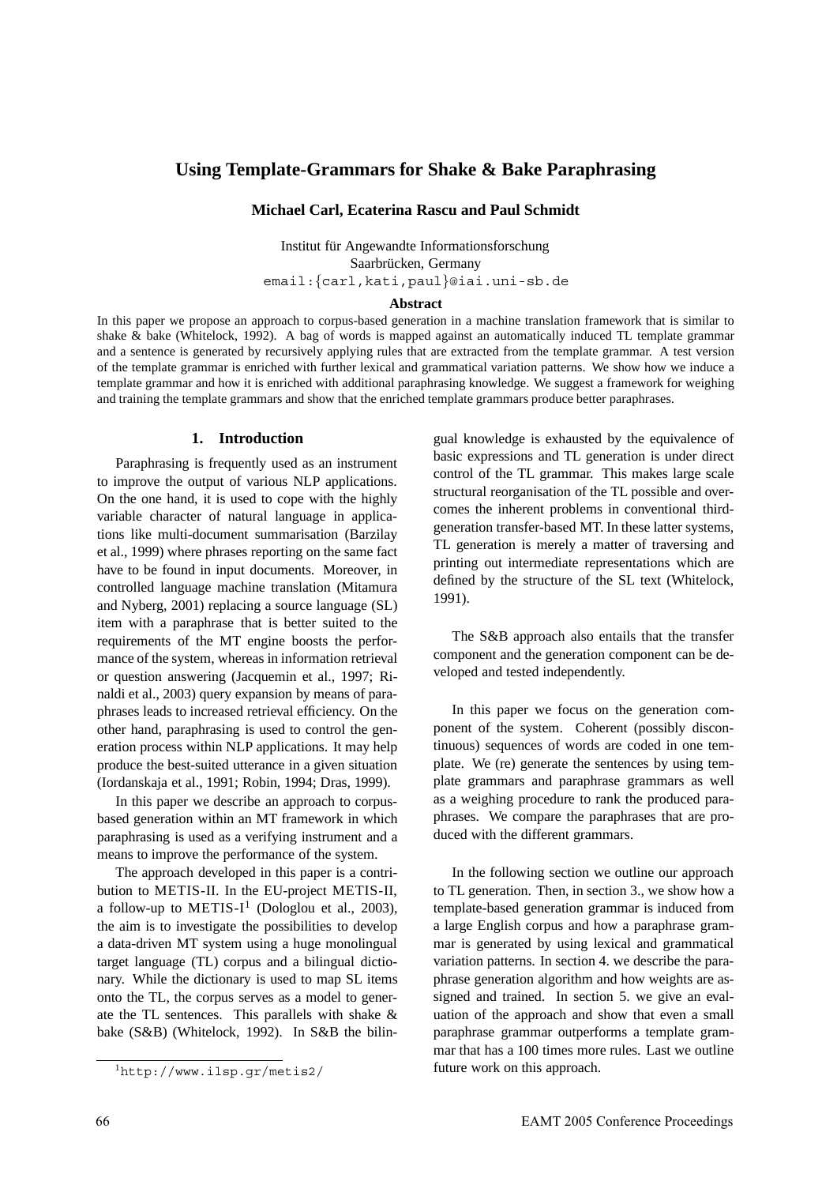# **Using Template-Grammars for Shake & Bake Paraphrasing**

# **Michael Carl, Ecaterina Rascu and Paul Schmidt**

Institut für Angewandte Informationsforschung Saarbrücken, Germany email:{carl,kati,paul}@iai.uni-sb.de

### **Abstract**

In this paper we propose an approach to corpus-based generation in a machine translation framework that is similar to shake & bake (Whitelock, 1992). A bag of words is mapped against an automatically induced TL template grammar and a sentence is generated by recursively applying rules that are extracted from the template grammar. A test version of the template grammar is enriched with further lexical and grammatical variation patterns. We show how we induce a template grammar and how it is enriched with additional paraphrasing knowledge. We suggest a framework for weighing and training the template grammars and show that the enriched template grammars produce better paraphrases.

### **1. Introduction**

Paraphrasing is frequently used as an instrument to improve the output of various NLP applications. On the one hand, it is used to cope with the highly variable character of natural language in applications like multi-document summarisation (Barzilay et al., 1999) where phrases reporting on the same fact have to be found in input documents. Moreover, in controlled language machine translation (Mitamura and Nyberg, 2001) replacing a source language (SL) item with a paraphrase that is better suited to the requirements of the MT engine boosts the performance of the system, whereas in information retrieval or question answering (Jacquemin et al., 1997; Rinaldi et al., 2003) query expansion by means of paraphrases leads to increased retrieval efficiency. On the other hand, paraphrasing is used to control the generation process within NLP applications. It may help produce the best-suited utterance in a given situation (Iordanskaja et al., 1991; Robin, 1994; Dras, 1999).

In this paper we describe an approach to corpusbased generation within an MT framework in which paraphrasing is used as a verifying instrument and a means to improve the performance of the system.

The approach developed in this paper is a contribution to METIS-II. In the EU-project METIS-II, a follow-up to METIS- $I^1$  (Dologlou et al., 2003), the aim is to investigate the possibilities to develop a data-driven MT system using a huge monolingual target language (TL) corpus and a bilingual dictionary. While the dictionary is used to map SL items onto the TL, the corpus serves as a model to generate the TL sentences. This parallels with shake & bake (S&B) (Whitelock, 1992). In S&B the bilingual knowledge is exhausted by the equivalence of basic expressions and TL generation is under direct control of the TL grammar. This makes large scale structural reorganisation of the TL possible and overcomes the inherent problems in conventional thirdgeneration transfer-based MT. In these latter systems, TL generation is merely a matter of traversing and printing out intermediate representations which are defined by the structure of the SL text (Whitelock, 1991).

The S&B approach also entails that the transfer component and the generation component can be developed and tested independently.

In this paper we focus on the generation component of the system. Coherent (possibly discontinuous) sequences of words are coded in one template. We (re) generate the sentences by using template grammars and paraphrase grammars as well as a weighing procedure to rank the produced paraphrases. We compare the paraphrases that are produced with the different grammars.

In the following section we outline our approach to TL generation. Then, in section 3., we show how a template-based generation grammar is induced from a large English corpus and how a paraphrase grammar is generated by using lexical and grammatical variation patterns. In section 4. we describe the paraphrase generation algorithm and how weights are assigned and trained. In section 5. we give an evaluation of the approach and show that even a small paraphrase grammar outperforms a template grammar that has a 100 times more rules. Last we outline future work on this approach.

<sup>1</sup>http://www.ilsp.gr/metis2/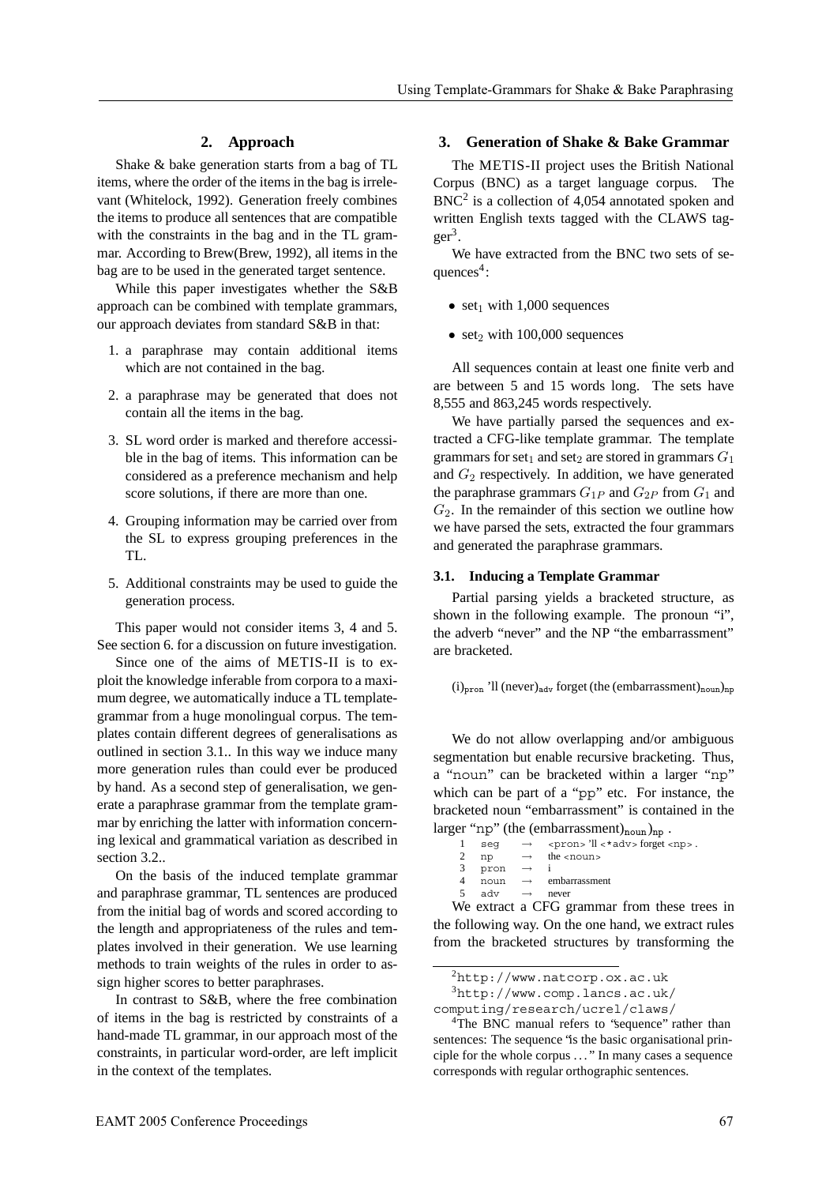# **2. Approach**

Shake & bake generation starts from a bag of TL items, where the order of the items in the bag is irrelevant (Whitelock, 1992). Generation freely combines the items to produce all sentences that are compatible with the constraints in the bag and in the TL grammar. According to Brew(Brew, 1992), all items in the bag are to be used in the generated target sentence.

While this paper investigates whether the S&B approach can be combined with template grammars, our approach deviates from standard S&B in that:

- 1. a paraphrase may contain additional items which are not contained in the bag.
- 2. a paraphrase may be generated that does not contain all the items in the bag.
- 3. SL word order is marked and therefore accessible in the bag of items. This information can be considered as a preference mechanism and help score solutions, if there are more than one.
- 4. Grouping information may be carried over from the SL to express grouping preferences in the TL.
- 5. Additional constraints may be used to guide the generation process.

This paper would not consider items 3, 4 and 5. See section 6. for a discussion on future investigation.

Since one of the aims of METIS-II is to exploit the knowledge inferable from corpora to a maximum degree, we automatically induce a TL templategrammar from a huge monolingual corpus. The templates contain different degrees of generalisations as outlined in section 3.1.. In this way we induce many more generation rules than could ever be produced by hand. As a second step of generalisation, we generate a paraphrase grammar from the template grammar by enriching the latter with information concerning lexical and grammatical variation as described in section 3.2..

On the basis of the induced template grammar and paraphrase grammar, TL sentences are produced from the initial bag of words and scored according to the length and appropriateness of the rules and templates involved in their generation. We use learning methods to train weights of the rules in order to assign higher scores to better paraphrases.

In contrast to S&B, where the free combination of items in the bag is restricted by constraints of a hand-made TL grammar, in our approach most of the constraints, in particular word-order, are left implicit in the context of the templates.

# **3. Generation of Shake & Bake Grammar**

The METIS-II project uses the British National Corpus (BNC) as a target language corpus. The  $BNC<sup>2</sup>$  is a collection of 4,054 annotated spoken and written English texts tagged with the CLAWS tag $ger<sup>3</sup>$ .

We have extracted from the BNC two sets of sequences $4$ :

- set<sub>1</sub> with 1,000 sequences
- set<sub>2</sub> with 100,000 sequences

All sequences contain at least one finite verb and are between 5 and 15 words long. The sets have 8,555 and 863,245 words respectively.

We have partially parsed the sequences and extracted a CFG-like template grammar. The template grammars for set<sub>1</sub> and set<sub>2</sub> are stored in grammars  $G_1$ and  $G_2$  respectively. In addition, we have generated the paraphrase grammars  $G_{1P}$  and  $G_{2P}$  from  $G_1$  and  $G_2$ . In the remainder of this section we outline how we have parsed the sets, extracted the four grammars and generated the paraphrase grammars.

#### **3.1. Inducing a Template Grammar**

Partial parsing yields a bracketed structure, as shown in the following example. The pronoun "i", the adverb "never" and the NP "the embarrassment" are bracketed.

 $(i)_{\text{pron}}$  'll (never)<sub>ady</sub> forget (the (embarrassment)<sub>noun</sub>)<sub>np</sub>

We do not allow overlapping and/or ambiguous segmentation but enable recursive bracketing. Thus, a "noun" can be bracketed within a larger "np" which can be part of a "pp" etc. For instance, the bracketed noun "embarrassment" is contained in the

```
larger "np" (the (embarrassment)<sub>noun</sub>)<sub>np</sub>.<br>
1 \text{ seg} \rightarrow \text{spron} \text{ or } 1 \text{ s*adv} forget \text{ or } 1\rightarrow <pron> 'll <*adv> forget <np>.<br>
\rightarrow the <noun>
          2 np \rightarrow the <noun><br>3 pron \rightarrow i
                  pron
          4 noun → embarrassment
                  adv \rightarrow never
```
We extract a CFG grammar from these trees in the following way. On the one hand, we extract rules from the bracketed structures by transforming the

computing/research/ucrel/claws/

 $^{2}$ http://www.natcorp.ox.ac.uk

<sup>3</sup>http://www.comp.lancs.ac.uk/

<sup>&</sup>lt;sup>4</sup>The BNC manual refers to 'sequence' rather than sentences: The sequence 'is the basic organisational principle for the whole corpus . . . " In many cases a sequence corresponds with regular orthographic sentences.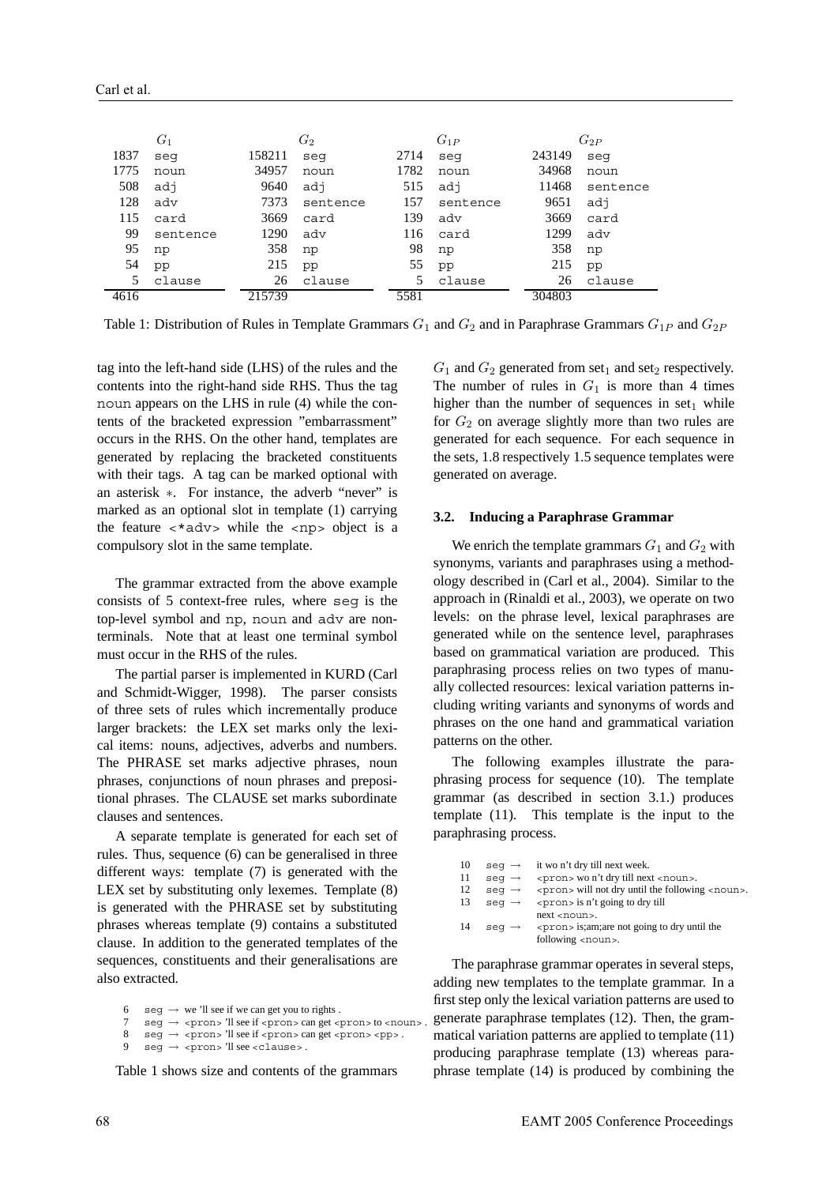| $G_1$ |          | $G_2$<br>$G_{1P}$ |          | $G_{2P}$ |          |        |          |
|-------|----------|-------------------|----------|----------|----------|--------|----------|
| 1837  | seq      | 158211            | seq      | 2714     | seq      | 243149 | seq      |
| 1775  | noun     | 34957             | noun     | 1782     | noun     | 34968  | noun     |
| 508   | adj      | 9640              | adj      | 515      | adi      | 11468  | sentence |
| 128   | adv      | 7373              | sentence | 157      | sentence | 9651   | adi      |
| 115   | card     | 3669              | card     | 139      | adv      | 3669   | card     |
| 99    | sentence | 1290              | adv      | 116      | card     | 1299   | adv      |
| 95    | np       | 358               | np       | 98       | np       | 358    | np       |
| 54    | pp       | 215               | pp       | 55       | pp       | 215    | pp       |
| 5     | clause   | 26                | clause   |          | clause   | 26     | clause   |
| 4616  |          | 215739            |          | 5581     |          | 304803 |          |

Table 1: Distribution of Rules in Template Grammars  $G_1$  and  $G_2$  and in Paraphrase Grammars  $G_1$ <sub>P</sub> and  $G_2$ <sub>P</sub>

tag into the left-hand side (LHS) of the rules and the contents into the right-hand side RHS. Thus the tag noun appears on the LHS in rule (4) while the contents of the bracketed expression "embarrassment" occurs in the RHS. On the other hand, templates are generated by replacing the bracketed constituents with their tags. A tag can be marked optional with an asterisk ∗. For instance, the adverb "never" is marked as an optional slot in template (1) carrying the feature  $\langle *adv \rangle$  while the  $\langle np \rangle$  object is a compulsory slot in the same template.

The grammar extracted from the above example consists of 5 context-free rules, where seg is the top-level symbol and np, noun and adv are nonterminals. Note that at least one terminal symbol must occur in the RHS of the rules.

The partial parser is implemented in KURD (Carl and Schmidt-Wigger, 1998). The parser consists of three sets of rules which incrementally produce larger brackets: the LEX set marks only the lexical items: nouns, adjectives, adverbs and numbers. The PHRASE set marks adjective phrases, noun phrases, conjunctions of noun phrases and prepositional phrases. The CLAUSE set marks subordinate clauses and sentences.

A separate template is generated for each set of rules. Thus, sequence (6) can be generalised in three different ways: template (7) is generated with the LEX set by substituting only lexemes. Template (8) is generated with the PHRASE set by substituting phrases whereas template (9) contains a substituted clause. In addition to the generated templates of the sequences, constituents and their generalisations are also extracted.

- $seg \rightarrow we'll see if we can get you to rights.$
- $\text{reg} \rightarrow \text{spron}$  'll see if  $\text{spron}$  can get  $\text{spron}$  to  $\text{spron}$
- $8 \text{ seg} \rightarrow \text{spron}$ >'ll see if <pron> can get <pron> <pp>.

 $seg \rightarrow$  <pron> 'll see <clause>.

Table 1 shows size and contents of the grammars

 $G_1$  and  $G_2$  generated from set<sub>1</sub> and set<sub>2</sub> respectively. The number of rules in  $G_1$  is more than 4 times higher than the number of sequences in  $set_1$  while for  $G_2$  on average slightly more than two rules are generated for each sequence. For each sequence in the sets, 1.8 respectively 1.5 sequence templates were generated on average.

#### **3.2. Inducing a Paraphrase Grammar**

We enrich the template grammars  $G_1$  and  $G_2$  with synonyms, variants and paraphrases using a methodology described in (Carl et al., 2004). Similar to the approach in (Rinaldi et al., 2003), we operate on two levels: on the phrase level, lexical paraphrases are generated while on the sentence level, paraphrases based on grammatical variation are produced. This paraphrasing process relies on two types of manually collected resources: lexical variation patterns including writing variants and synonyms of words and phrases on the one hand and grammatical variation patterns on the other.

The following examples illustrate the paraphrasing process for sequence (10). The template grammar (as described in section 3.1.) produces template (11). This template is the input to the paraphrasing process.

| 10 | $seq \rightarrow$ | it wo n't dry till next week.                                 |
|----|-------------------|---------------------------------------------------------------|
| 11 | $seq \rightarrow$ | <pron> wo n't dry till next <noun>.</noun></pron>             |
| 12 | $seq \rightarrow$ | <pron> will not dry until the following <noun>.</noun></pron> |
| 13 | $seq \rightarrow$ | $<$ pron $>$ is n't going to dry till                         |
|    |                   | $next$ $< noun$ .                                             |
| 14 | $seq \rightarrow$ | <pron> is;am;are not going to dry until the</pron>            |
|    |                   | following <noun>.</noun>                                      |

The paraphrase grammar operates in several steps. adding new templates to the template grammar. In a first step only the lexical variation patterns are used to generate paraphrase templates (12). Then, the grammatical variation patterns are applied to template (11) producing paraphrase template (13) whereas paraphrase template (14) is produced by combining the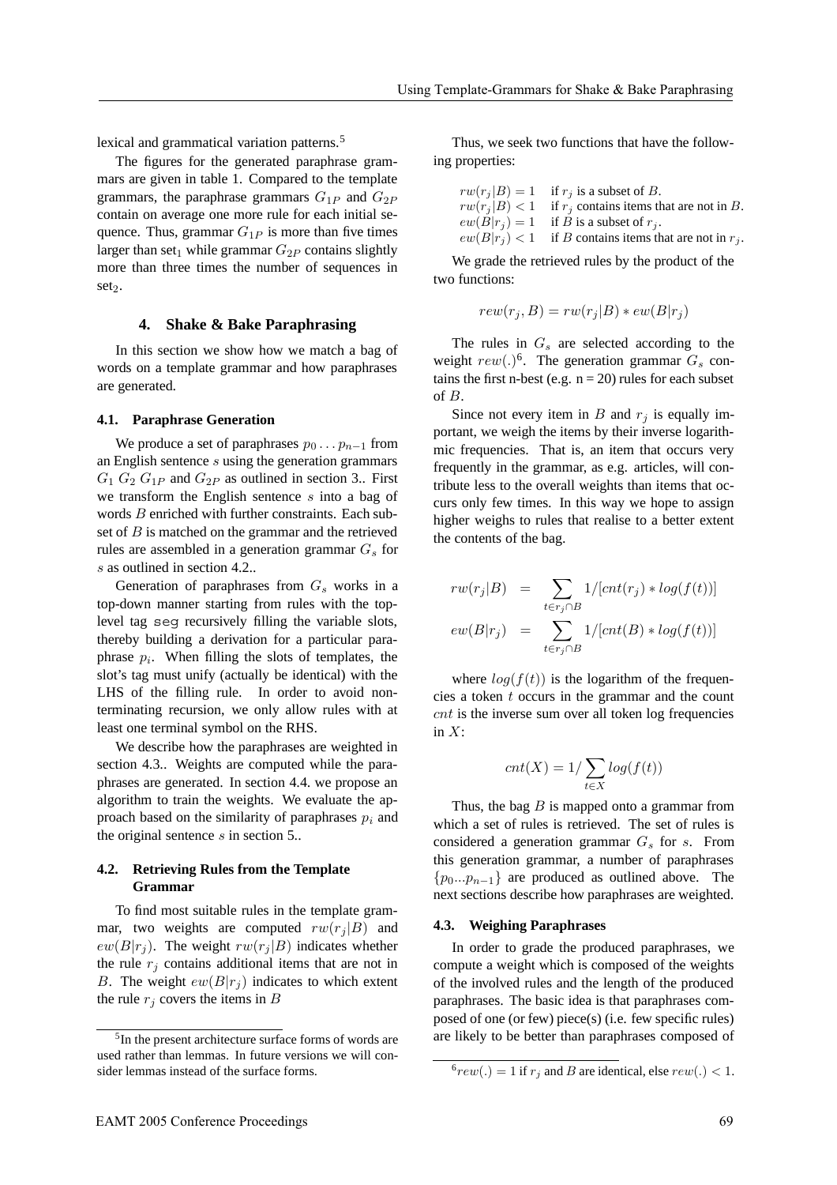lexical and grammatical variation patterns.<sup>5</sup>

The figures for the generated paraphrase grammars are given in table 1. Compared to the template grammars, the paraphrase grammars  $G_{1P}$  and  $G_{2P}$ contain on average one more rule for each initial sequence. Thus, grammar  $G_{1P}$  is more than five times larger than set<sub>1</sub> while grammar  $G_{2P}$  contains slightly more than three times the number of sequences in set<sub>2</sub>.

#### **4. Shake & Bake Paraphrasing**

In this section we show how we match a bag of words on a template grammar and how paraphrases are generated.

### **4.1. Paraphrase Generation**

We produce a set of paraphrases  $p_0 \nldots p_{n-1}$  from an English sentence s using the generation grammars  $G_1 G_2 G_{1P}$  and  $G_{2P}$  as outlined in section 3.. First we transform the English sentence s into a bag of words B enriched with further constraints. Each subset of  $B$  is matched on the grammar and the retrieved rules are assembled in a generation grammar  $G_s$  for s as outlined in section 4.2..

Generation of paraphrases from  $G<sub>s</sub>$  works in a top-down manner starting from rules with the toplevel tag seg recursively filling the variable slots, thereby building a derivation for a particular paraphrase  $p_i$ . When filling the slots of templates, the slot's tag must unify (actually be identical) with the LHS of the filling rule. In order to avoid nonterminating recursion, we only allow rules with at least one terminal symbol on the RHS.

We describe how the paraphrases are weighted in section 4.3.. Weights are computed while the paraphrases are generated. In section 4.4. we propose an algorithm to train the weights. We evaluate the approach based on the similarity of paraphrases  $p_i$  and the original sentence  $s$  in section 5..

# **4.2. Retrieving Rules from the Template Grammar**

To find most suitable rules in the template grammar, two weights are computed  $rw(r_i | B)$  and  $ew(B|r_i)$ . The weight  $rw(r_i|B)$  indicates whether the rule  $r_i$  contains additional items that are not in B. The weight  $ew(B|r_i)$  indicates to which extent the rule  $r_i$  covers the items in B

Thus, we seek two functions that have the following properties:

| $rw(r_i B) = 1$ if $r_i$ is a subset of B.                  |
|-------------------------------------------------------------|
| $rw(r_i B) < 1$ if $r_i$ contains items that are not in B.  |
| $ew(B r_i) = 1$ if B is a subset of $r_i$ .                 |
| $ew(B r_i) < 1$ if B contains items that are not in $r_i$ . |

We grade the retrieved rules by the product of the two functions:

$$
rew(r_j, B) = rw(r_j|B) * ew(B|r_j)
$$

The rules in  $G_s$  are selected according to the weight  $rew(.)^6$ . The generation grammar  $G_s$  contains the first n-best (e.g.  $n = 20$ ) rules for each subset of B.

Since not every item in  $B$  and  $r_i$  is equally important, we weigh the items by their inverse logarithmic frequencies. That is, an item that occurs very frequently in the grammar, as e.g. articles, will contribute less to the overall weights than items that occurs only few times. In this way we hope to assign higher weighs to rules that realise to a better extent the contents of the bag.

$$
rw(r_j|B) = \sum_{t \in r_j \cap B} 1/[cnt(r_j) * log(f(t))]
$$

$$
ew(B|r_j) = \sum_{t \in r_j \cap B} 1/[cnt(B) * log(f(t))]
$$

where  $log(f(t))$  is the logarithm of the frequencies a token  $t$  occurs in the grammar and the count cnt is the inverse sum over all token log frequencies in  $X$ :

$$
cnt(X) = 1/\sum_{t \in X} log(f(t))
$$

Thus, the bag  $B$  is mapped onto a grammar from which a set of rules is retrieved. The set of rules is considered a generation grammar  $G_s$  for s. From this generation grammar, a number of paraphrases  ${p_0...p_{n-1}}$  are produced as outlined above. The next sections describe how paraphrases are weighted.

#### **4.3. Weighing Paraphrases**

In order to grade the produced paraphrases, we compute a weight which is composed of the weights of the involved rules and the length of the produced paraphrases. The basic idea is that paraphrases composed of one (or few) piece(s) (i.e. few specific rules) are likely to be better than paraphrases composed of

<sup>5</sup>In the present architecture surface forms of words are used rather than lemmas. In future versions we will consider lemmas instead of the surface forms.

 $^6$ rew(.) = 1 if r<sub>j</sub> and B are identical, else rew(.) < 1.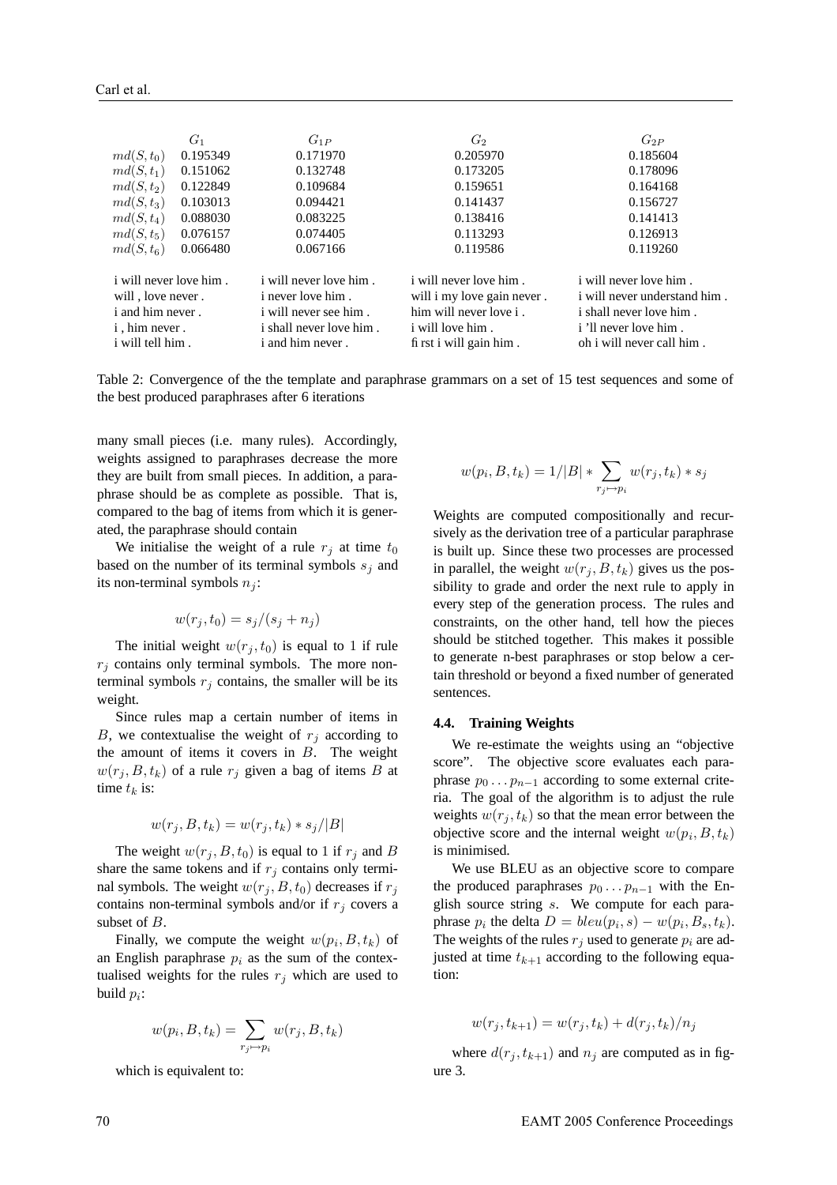|                                                    | $G_1$    | $G_{1P}$                                           | $G_2$                                                       | $G_{2P}$                                                      |
|----------------------------------------------------|----------|----------------------------------------------------|-------------------------------------------------------------|---------------------------------------------------------------|
| $md(S,t_0)$                                        | 0.195349 | 0.171970                                           | 0.205970                                                    | 0.185604                                                      |
| $md(S, t_1)$                                       | 0.151062 | 0.132748                                           | 0.173205                                                    | 0.178096                                                      |
| $md(S,t_2)$                                        | 0.122849 | 0.109684                                           | 0.159651                                                    | 0.164168                                                      |
| $md(S, t_3)$                                       | 0.103013 | 0.094421                                           | 0.141437                                                    | 0.156727                                                      |
| $md(S, t_4)$                                       | 0.088030 | 0.083225                                           | 0.138416                                                    | 0.141413                                                      |
| $md(S,t_5)$                                        | 0.076157 | 0.074405                                           | 0.113293                                                    | 0.126913                                                      |
| $md(S,t_6)$                                        | 0.066480 | 0.067166                                           | 0.119586                                                    | 0.119260                                                      |
| <i>i</i> will never love him.<br>will, love never. |          | <i>i</i> will never love him.<br>i never love him. | <i>i</i> will never love him.<br>will i my love gain never. | <i>i</i> will never love him.<br>i will never understand him. |
| <i>i</i> and him never.                            |          | <i>i</i> will never see him.                       | him will never love i.                                      | <i>i</i> shall never love him.                                |
| <i>i</i> , him never.                              |          | <i>i</i> shall never love him.                     | <i>i</i> will love him.                                     | i 'll never love him.                                         |
| <i>i</i> will tell him.                            |          | i and him never.                                   | fi rst i will gain him.                                     | oh i will never call him.                                     |

Table 2: Convergence of the the template and paraphrase grammars on a set of 15 test sequences and some of the best produced paraphrases after 6 iterations

many small pieces (i.e. many rules). Accordingly, weights assigned to paraphrases decrease the more they are built from small pieces. In addition, a paraphrase should be as complete as possible. That is, compared to the bag of items from which it is generated, the paraphrase should contain

We initialise the weight of a rule  $r_i$  at time  $t_0$ based on the number of its terminal symbols  $s_j$  and its non-terminal symbols  $n_i$ :

$$
w(r_j, t_0) = s_j/(s_j + n_j)
$$

The initial weight  $w(r_j, t_0)$  is equal to 1 if rule  $r_j$  contains only terminal symbols. The more nonterminal symbols  $r_i$  contains, the smaller will be its weight.

Since rules map a certain number of items in B, we contextualise the weight of  $r_i$  according to the amount of items it covers in  $B$ . The weight  $w(r_j, B, t_k)$  of a rule  $r_j$  given a bag of items B at time  $t_k$  is:

$$
w(r_j, B, t_k) = w(r_j, t_k) * s_j / |B|
$$

The weight  $w(r_i, B, t_0)$  is equal to 1 if  $r_i$  and B share the same tokens and if  $r_i$  contains only terminal symbols. The weight  $w(r_i, B, t_0)$  decreases if  $r_i$ contains non-terminal symbols and/or if  $r_j$  covers a subset of B.

Finally, we compute the weight  $w(p_i, B, t_k)$  of an English paraphrase  $p_i$  as the sum of the contextualised weights for the rules  $r_j$  which are used to build  $p_i$ :

$$
w(p_i, B, t_k) = \sum_{r_j \mapsto p_i} w(r_j, B, t_k)
$$

which is equivalent to:

$$
w(p_i, B, t_k) = 1/|B| * \sum_{r_j \mapsto p_i} w(r_j, t_k) * s_j
$$

Weights are computed compositionally and recursively as the derivation tree of a particular paraphrase is built up. Since these two processes are processed in parallel, the weight  $w(r_j, B, t_k)$  gives us the possibility to grade and order the next rule to apply in every step of the generation process. The rules and constraints, on the other hand, tell how the pieces should be stitched together. This makes it possible to generate n-best paraphrases or stop below a certain threshold or beyond a fixed number of generated sentences.

### **4.4. Training Weights**

We re-estimate the weights using an "objective score". The objective score evaluates each paraphrase  $p_0 \nldots p_{n-1}$  according to some external criteria. The goal of the algorithm is to adjust the rule weights  $w(r_j, t_k)$  so that the mean error between the objective score and the internal weight  $w(p_i, B, t_k)$ is minimised.

We use BLEU as an objective score to compare the produced paraphrases  $p_0 \t ... p_{n-1}$  with the English source string s. We compute for each paraphrase  $p_i$  the delta  $D = blueu(p_i, s) - w(p_i, B_s, t_k)$ . The weights of the rules  $r_j$  used to generate  $p_i$  are adjusted at time  $t_{k+1}$  according to the following equation:

$$
w(r_j, t_{k+1}) = w(r_j, t_k) + d(r_j, t_k)/n_j
$$

where  $d(r_j, t_{k+1})$  and  $n_j$  are computed as in figure 3.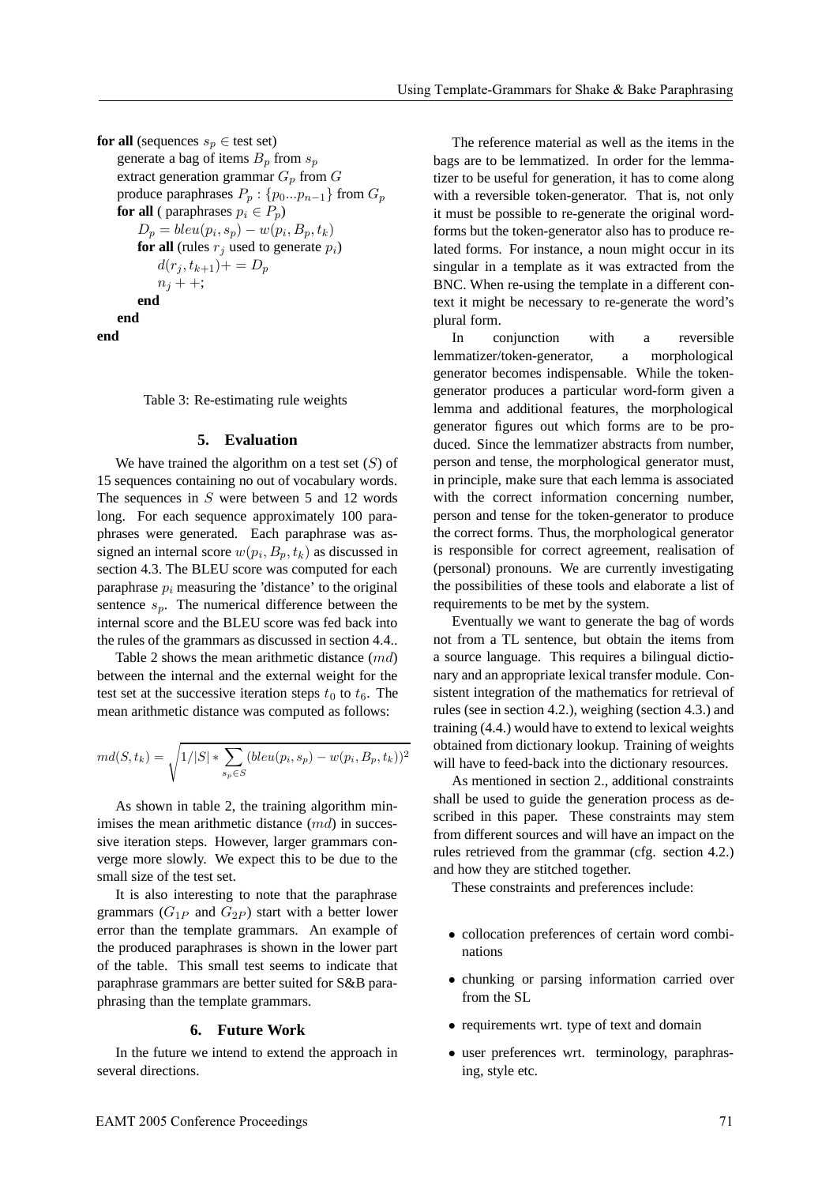**for all** (sequences  $s_p \in$  test set) generate a bag of items  $B_p$  from  $s_p$ extract generation grammar  $G_p$  from  $G$ produce paraphrases  $P_p$  : { $p_0...p_{n-1}$ } from  $G_p$ **for all** ( paraphrases  $p_i \in P_p$ )  $D_p = blue(p_i, s_p) - w(p_i, B_p, t_k)$ **for all** (rules  $r_i$  used to generate  $p_i$ )  $d(r_j, t_{k+1})+=D_p$  $n_j + +$ ; **end end end**

Table 3: Re-estimating rule weights

### **5. Evaluation**

We have trained the algorithm on a test set  $(S)$  of 15 sequences containing no out of vocabulary words. The sequences in  $S$  were between 5 and 12 words long. For each sequence approximately 100 paraphrases were generated. Each paraphrase was assigned an internal score  $w(p_i, B_n, t_k)$  as discussed in section 4.3. The BLEU score was computed for each paraphrase  $p_i$  measuring the 'distance' to the original sentence  $s_p$ . The numerical difference between the internal score and the BLEU score was fed back into the rules of the grammars as discussed in section 4.4..

Table 2 shows the mean arithmetic distance (md) between the internal and the external weight for the test set at the successive iteration steps  $t_0$  to  $t_6$ . The mean arithmetic distance was computed as follows:

$$
md(S, t_k) = \sqrt{1/|S| * \sum_{s_p \in S} (bleu(p_i, s_p) - w(p_i, B_p, t_k))^2}
$$

As shown in table 2, the training algorithm minimises the mean arithmetic distance  $(md)$  in successive iteration steps. However, larger grammars converge more slowly. We expect this to be due to the small size of the test set.

It is also interesting to note that the paraphrase grammars  $(G_{1P}$  and  $G_{2P}$ ) start with a better lower error than the template grammars. An example of the produced paraphrases is shown in the lower part of the table. This small test seems to indicate that paraphrase grammars are better suited for S&B paraphrasing than the template grammars.

#### **6. Future Work**

In the future we intend to extend the approach in several directions.

The reference material as well as the items in the bags are to be lemmatized. In order for the lemmatizer to be useful for generation, it has to come along with a reversible token-generator. That is, not only it must be possible to re-generate the original wordforms but the token-generator also has to produce related forms. For instance, a noun might occur in its singular in a template as it was extracted from the BNC. When re-using the template in a different context it might be necessary to re-generate the word's plural form.

In conjunction with a reversible lemmatizer/token-generator, a morphological generator becomes indispensable. While the tokengenerator produces a particular word-form given a lemma and additional features, the morphological generator figures out which forms are to be produced. Since the lemmatizer abstracts from number, person and tense, the morphological generator must, in principle, make sure that each lemma is associated with the correct information concerning number, person and tense for the token-generator to produce the correct forms. Thus, the morphological generator is responsible for correct agreement, realisation of (personal) pronouns. We are currently investigating the possibilities of these tools and elaborate a list of requirements to be met by the system.

Eventually we want to generate the bag of words not from a TL sentence, but obtain the items from a source language. This requires a bilingual dictionary and an appropriate lexical transfer module. Consistent integration of the mathematics for retrieval of rules (see in section 4.2.), weighing (section 4.3.) and training (4.4.) would have to extend to lexical weights obtained from dictionary lookup. Training of weights will have to feed-back into the dictionary resources.

As mentioned in section 2., additional constraints shall be used to guide the generation process as described in this paper. These constraints may stem from different sources and will have an impact on the rules retrieved from the grammar (cfg. section 4.2.) and how they are stitched together.

These constraints and preferences include:

- collocation preferences of certain word combinations
- chunking or parsing information carried over from the SL
- requirements wrt. type of text and domain
- user preferences wrt. terminology, paraphrasing, style etc.